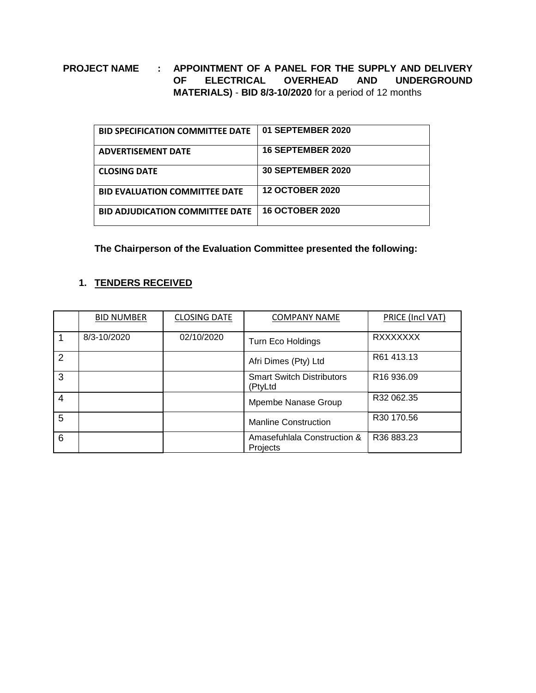## **PROJECT NAME : APPOINTMENT OF A PANEL FOR THE SUPPLY AND DELIVERY OF ELECTRICAL OVERHEAD AND UNDERGROUND MATERIALS)** - **BID 8/3-10/2020** for a period of 12 months

| <b>BID SPECIFICATION COMMITTEE DATE</b> | 01 SEPTEMBER 2020        |
|-----------------------------------------|--------------------------|
| <b>ADVERTISEMENT DATE</b>               | <b>16 SEPTEMBER 2020</b> |
| <b>CLOSING DATE</b>                     | <b>30 SEPTEMBER 2020</b> |
| <b>BID EVALUATION COMMITTEE DATE</b>    | <b>12 OCTOBER 2020</b>   |
| <b>BID ADJUDICATION COMMITTEE DATE</b>  | <b>16 OCTOBER 2020</b>   |

**The Chairperson of the Evaluation Committee presented the following:**

## **1. TENDERS RECEIVED**

|   | <b>BID NUMBER</b> | <b>CLOSING DATE</b> | <b>COMPANY NAME</b>                         | PRICE (Incl VAT)       |
|---|-------------------|---------------------|---------------------------------------------|------------------------|
|   | 8/3-10/2020       | 02/10/2020          | <b>Turn Eco Holdings</b>                    | <b>RXXXXXXX</b>        |
| 2 |                   |                     | Afri Dimes (Pty) Ltd                        | R61 413.13             |
| 3 |                   |                     | <b>Smart Switch Distributors</b><br>(PtyLtd | R <sub>16</sub> 936.09 |
| 4 |                   |                     | Mpembe Nanase Group                         | R32 062.35             |
| 5 |                   |                     | <b>Manline Construction</b>                 | R30 170.56             |
| 6 |                   |                     | Amasefuhlala Construction &<br>Projects     | R36 883.23             |